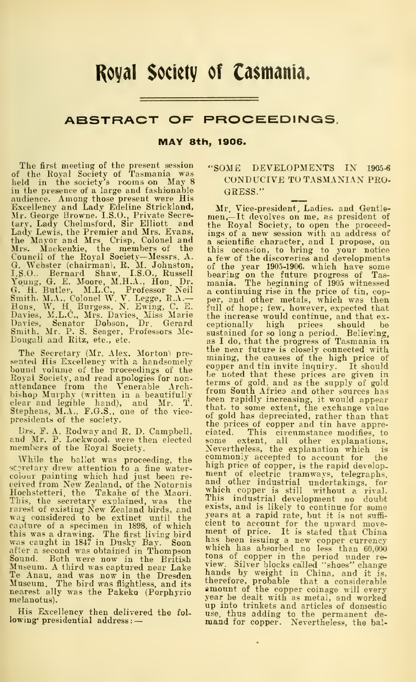## Royal Society of Ca\$mania.

## ABSTRACT OF PROCEEDINGS.

MAY 8th, 1906.

The first meeting of the present session<br>of the Royal Society of Tasmania was<br>held in the society's rooms on May 8<br>in the presence of a large and fashionable<br>audience. Among those present were His<br>greellency and Lady Edeli tary, Lady Chelmsford, Sir Elliott and Lady Lewis, the Premier and Mrs. Evans, the Mayor and Mrs Crisp, Colonel and Mrs. Mackenzie, the members of the Council of the Royal Society-Messrs, A. a fee (chairman), R. M. Johnston, of t. IS.O., Bernard Shaw, IS.O., Russell bear<br>Young, G. E. Moore, M.H.A., Hon Dr. Theory Council of Toung, G. E. Moore, M.H.A., Hon Dr. a. co<br>G. H.

The Secretary (Mr. Alex. Morton) pre-<br>sented His Excellency with a handsomely sented His Excellency with a handsomely<br>bound volume of the proceedings of the copy<br>Royal Society, and read apologies for non-<br>therefore from the Venerable Architect<br>bishop Murphy (written in a beautifully<br>beelear and legi presidents of the society.

While the ballot was proceeding, the coincidency drew attention to a fine water-<br>screary drew attention to a fine water-<br>ceived from New Zealand, of the Notornis and<br>where we was a ceived from New Zealand, of the Notornis Hochstetteri, the Takahe of the Maori. This, the secretary explained, was the existing New Zealand birds, and<br>was considered to be extinct until the spear<br>eapture of a specimen in 1898, of which cienc this was a drawing. The first living bird<br>was caught in 1847 in Dusky Bay. Soon which<br>after a second was obtained in Thompson<br>after a second was obtained in Thompson<br>Museum. A third was captured near Lake<br>Te Anau, and was melanotus).

His Excellency then delivered the fol lowing' presidential address : —

## "SOME DEVELOPMENTS IN 1905-S CONDUCIVE TO TASMANIAN PRO-GRESS."

Urs. F. A. Rodway and R. D. Campbell, and Mr. Price of the circumstance modifies, to and Mr. P. Lockwood, were then elected some extent, all other explanations, while the ballot was proceeding, the commonly accepted to acc Mr. Vice-president, Ladies, and Gentle- men,—It devolves on me, as president of the Royal Society, to open the proceed-ings of a new session with an address of a scientific character, and <sup>I</sup>propose, on this occasion, to bring to your notice a few of the discoveries and developments of the year 1905-1906, which have some<br>bearing on the future progress of Tas-<br>mania. The beginning of 1905 witnessed a continuing rise in the price of tin, copper, and other metals, which was then full of hope; few, however, expected that the increase would continue, and that ex- ceptionally high prices should be sustained for so long a period. Believing, as <sup>I</sup> do, that the progress of Tasmania in the near future is closely connected with mining, the causes of the high price of copper and tin invite inquiry. It should terms of gold, and as the supply of gold from South Africa and other sources has been rapidly increasing, it would appear that, to some extent, the exchange value of gold has depreciated, rather than that the prices of copper and tin have appreciated. This circumstance modifies, to some extent, all other explanations. ment of electric tramways, telegraphs, and other industrial undertakings, for which copper is still without a rival.<br>This industrial development no doubt exists, and is likely to continue for some years at a rapid rate, but it is not suffi- cient to account for the upward move- ment of price. It is stated that China When has absorbed no less than 60,000 with the period under re-<br>tions of copper in the period under re-<br>tions by weight in China, and it is,<br>hands by weight in China, and it is,<br>therefore, probable that a considerable<br>amou up into trinkets and articles of domestic use, thus adding to the permanent de- mand for copper. Nevertheless, the bal-

 $\ddot{\phantom{0}}$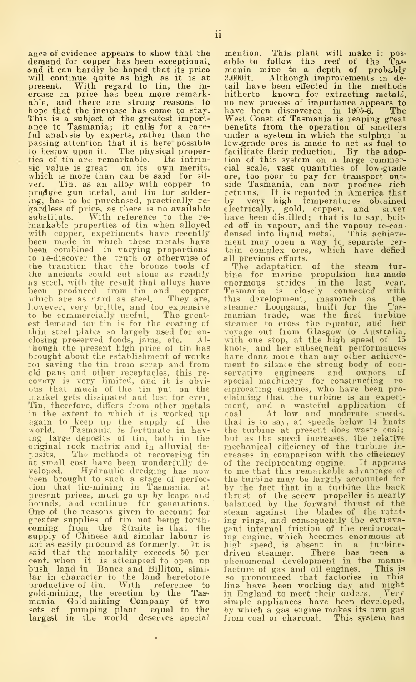ance of evidence appears to show that the means demand for copper has been exceptional, either and it can hardly be hoped that its price may will continue quite as high as it is at 2,0 present. With regard to tin, the in-<br> This is a subject of the greatest import- We<br>ance to Tasmania; it calls for a care-bei ful analysis by experts, rather than the passing attention that it is here possible to bestow upon it. The physical proper-<br>ties of tin are remarkable. Its intrinties of tin are remarkable. sic value is great on its own merits, which is more than can be said for silver. Tin, as an alloy with copper to site<br>ing, has to be purchased, practically re-by<br>gardless of price, as there is no available clear<br>substitute. With reference to the re-ha inarkable properties of tin when alloyed with copper, experiments have recently depeen made in which these metals have meet<br>been combined in varying proportions this<br>to re-discover the truth or otherwise of all the tradition that the bronze tools cf the ancients could cut stone as readily bine for marine as steel, with the result that alloys have enormous strides as steel, with the result that alloys have eno<br>been produced from tin and copper Tas<br>which are as hard as steel. They are, this<br>however, very brittle, and too expensive stee to be commercially useful. The great-<br>est demand tor tin is for the coating of steel<br>thin steel plates so largely used for en-<br>closing preserved foods, jams, etc. Al-wit<br>plough the present high price of tin has kno brought about the establishment of works for saving the tin from scrap and from okl pans and other receptacles, this re-<br>covery is very limited, and it is obvi- sp<br>cus that much of the tin put on the cin<br>narket gets dissipated and lost for evei. cla Tin, therefore, differs from other metals in the extent to which it is worked up again to keep up the supply of the th:<br>world. Tasmania is fortunate in hav- the ing large deposits of tin, both in the bu<br>original rock matrix and in alluvial de-matrix<br>posits. The methods of recovering tin cre<br>at small cost have been wonderfully de-of veloped. Hydraulic dredging has now to me that this remarkable advantage of been brought to such a stage of perfec-<br>the turbine may be largely accounted for been brought to such a stage of perfection that tin-mining in Tasmania, at present prices, must go up by leaps and bounds, and continue for generations. bald<br>One of the reasons given to account for ste<br>greater supplies of tin not being forth- ing<br>coming from the Straits is that the gan supply of Chinese and similar labour is ing<br>not as easily procured as formerly. It is high<br>eart, when it is attempted to oper driving<br>eart, when it is attempted to open up the<br>bush land in Banca and Billiton, similar in ch

mention. This plant will make it pos-<br>eible to follow the reef of the Tas-<br>mania mine to a depth of probably<br>2,000ft. Although improvements in de-<br>tail have been effected in the methods<br>hitherto known for extracting metals West Coast of Tasmania is reaping great<br>benefits from the operation of smelters<br>under a system in which the sulphur in low-grade ores is made to act as fuel to<br>facilitate their reduction. By the adoption of this system on a large commercial scale, vast quantities of low-grade<br>cial scale, vast quantities of low-grade<br>ore, too poor to pay fo returns. It is reported in America that by very high temperatures obtained electrically: gold, copper, and silver have been distilled; that is to say, boil ed off in vapour, and the vapour re-con- densed into liquid metal. This achieve- ment may open <sup>a</sup> way to. separate cer- tain complex ores, which have defied all previous efforts.

The adaptation of the steam tur- bine for marine propulsion has made enormous strides in the last year.<br>Tesmania is closely connected with<br>this development, inasmuch as the<br>steamer Loongana, built for the Tas-<br>manian trade, was the first turbine<br>steamer to cross the equator, and her<br>voyage have done moie than any other achieve-<br>ment to silence the strong body of con-<br>servative engineers and owners of<br>special machinery for constructing reciprocating engines, who have been pro- claiming that the turbine is an experi ment, and a wasteful application of coal. At low and moderate speeds, that is to say, at speeds below 14 knots the turbine at present does waste coal; but as the speed increases, the relative mechanical efficiency of the turbine in creases in comparison with the efficiency of the reciprocating engine. It appears to me that this remarkable advantage of the turbine may be largely accounted for<br>by the fact that in a turbine the back<br>thrust of the screw propeller is nearly balanced by the forward thrust of the<br>steam against the blades of the rotet-<br>ing rings, and consequently the extrava-<br>gant internal friction of the reciprocating engine, which becomes enormous at high speed, is absent in a turbinedriven steamer. There has been a phenomenal development in the manu-<br>phenomenal development in the manufacture of gas and oil engines. This is<br>so pronounced that factories in this<br>line have been working day and night in England to meet their orders. Verv simple appliances have been developed, by which a gas engine makes its own gas from coal or charcoal. This system has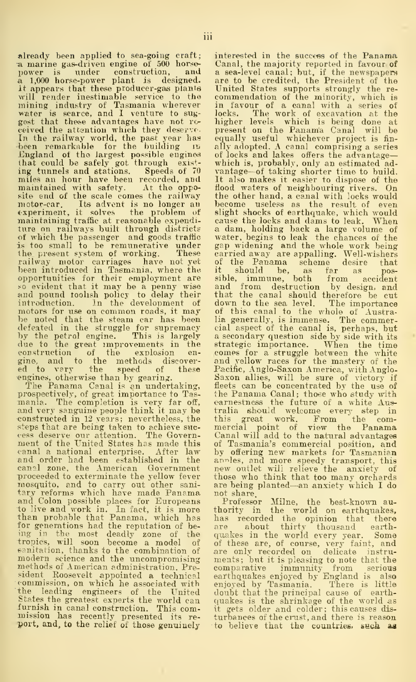already been applied to sea-going craft;<br>a marine gas-driven engine of 500 horse<sup>a</sup> marine gas-driven engine of <sup>500</sup> horse- power is Tinder construction, and i\ 1,000 horse-power plant is designed. It appears that these producer-gas plants will render inestimable service to the mining industry of Tasmania wherever in 1 water is scarce, and I venture to suy- lock<br>gost that these advantages have not re- high<br>geived the attention which they deserve- pres In the railway world, the past year has<br>been remarkable for the building its all<br>England of the largest possible engines of<br>that could be safely got through exist:- wh<br>ing tunnels and stations. Speeds of 70 yaa miles an hour have been recorded, and maintained with safety. At the oppo-site end of the scale comes the railway motor-car. Its advent is no longer an been problem of slip<br>experiment, it solves the problem of slip<br>maintaining traffic at reasonable expendi-car<br>ture on railways built through districts a of which the passenger and goods traffic wat<br>is too small to be remunerative under gap<br>the present system of working. These cari railway motor carriages have not-yet of<br>been introduced in Tasmania, where the... it opportunities for their employment are so evident that it may be <sup>a</sup> penny wise and pound toohsh policy to delay their introduction. In the development of motors for use on common roads, it may of the noted that the steam car has been lia gelected in the strength of defeated in the struggle for supremacy cial by the petrol engine. This is largely a sector of the great mprove gine, and to the methods discover- an<br>ed to vary the speed of these Pa

engines, otherwise than by gearing. The Panama Canal is an undertaking, prospectively, of great importance to Tas-<br>mania. The completion is very far off, ear<br>and very sanguine people think it may be tra constructed in 12 years; nevertheless, the<br>steps that are being taken to achieve suc-<br>cess deserve our attention. The Govern-<br>cannent of the United States has made this of<br>canal a national enterprise. After law by<br>and orde and order had been established in the<br>canal zone, the American Government proceeded to exterminate the yellow fever moscyuito, and to carry out other sani- are<br>tary reforms which have made Panama, not<br>and Colon possible places for Europeans Pho<br>than probable that Panama, which has has for generations had the reputation of be- are<br>ing in the most deadly zone of the qua<br>tropics, will soon become a model of of t<br>sanitation, thanks to the combination of are<br>modern science and the uncompromising mer methods of American administration. Precommission, on which he associated with the leading engineers of the United States the greatest experts the world can furnish in canal construction. This commission has recently presented its re-<br>port, and, to the relief of those genuinely

interested in the success of the Panama Canal, the majority reported in favour of<br>a sea-level canal; but, if the newspapers are to be credited, the President of the<br>United States supports strongly the re-<br>commendation of the minority, which is<br>in favour of a canal with a series of<br>locks. The work of excavation at the<br>higher levels which is bein equally useful whichever project is fin- ally adopted. A canal comprising a series of locks and lakes offers the advantage— which is,probably, only an estimated ad- vantage—of taking shorter time to build. It also makes it easier to dispose of the flood waters of neighbouring rivers. On<br>the other hand, a canal with locks would the other hand, <sup>a</sup> canal with locks would become useless as the result of even slight shocks of earthquake, which would cause the locks and dams to leak. When a dam, holding back a large volume of<br>water, begins to leak the chances of the<br>gap widening and the whole work being<br>carried away are appalling. Well-wishers<br>of the Panama scheme desire that<br>it should be, as far as possible, immune, both from accident and from destruction by design, and from destruction by design, and that the canal should therefore be cut down to the sea level. The importance of this canal to the whole of Australia generally, is immense. The commer-cial aspect of the canal is, perhaps, but a secondary question side by side with its strategic importance. When the time comes for a.struggle between the white and yellow races for the mastery of the Pacific, Anglo-Saxon America, with Anglo-<br>Saxon allies, will be sure of victory if<br>fleets can be concentrated by the use of<br>the Panama Canal; those who study with earnestness the future of a white Australia should welcome every step in<br>this great work. From the comthis great work. From ' the com-mercial point of view the Panama Canal will add to the natural advantages of Tasmania's commercial position, and by offering new markets for Tasmanian<br>a.n-les, and more speedy transport, this<br>new outlet will relieve the anxiety of<br>those who think that too many orchards<br>are being planted—an anxiety which I do

not share,<br>thority in the world on earthquakes,<br>has recorded the opinion that there<br>are about thirty thousand earth-<br>quakes in the world every year. Some<br>quakes in the world every year. of these are, of course, very faint, and<br>are only recorded on delicate instruare only recorded on delicate instru-<br>ments; but it is pleasing to note that the<br>comparative immunity from serious<br>earthquakes enjoyed by Tasmania. There is little<br>enjoyed by Tasmania. doubt that the principal cause of earthquakes is the shrinkage of the world as<br>it gets older and colder; this.causes dis<br>turbances of the.crust, and there is reas**on** to believe that the countries, such as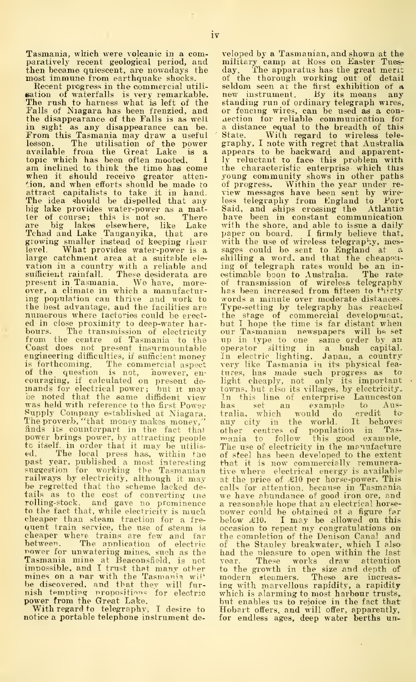Tasmania, which were volcanic in a comparatively recent geological period, and milithen became quiescent, are nowadays the day. then became quiescent, are nowadays the most immune from earthquake shocks.

Recent progress in the commercial utilisation of waterfalls is very remarkable. The rush to harness what is left of the Falls of Niagara has been frenzied, and the disappearance of the Falls is as well in sight as any disappearance can be. From this Tasmania may draw <sup>a</sup> useful lesson. The utilisation of the power available from the Great Lake is a topic which has been often mooted.  $\overline{1}$  am inclined to think the time has come when it should receive greater atten-<br>tion, and when efforts should be made to attract capitalists to take it in hand. Tie<br>The idea should be dispelled that any less<br>big lake provides water-power as a mat- Sai ter of course; this is not so. There are big lakes elsewhere, like Lake Tchad and Lake Tanganyika, that are growing smaller instead of keeping their<br>level. What provides water-power is a large catchment area at a suitable ele vation in a country with a reliable and sufficient rainfall. These desiderata are present in Tasmania. We have, moreover, a climate in which a manufactur-ing population can thrive and work to the best advantage, and the facilities are<br>numerous where factories could be erected in close proximity to deep-water harbours. The tiansmission of electricity from the centre of Tasmania to the Coast does not present insurmountable engineering difficulties, if sufficient money is forthcoming. The commercial aspect very<br>of the question is not, however, en- tures<br>couraging, if calculated on present de- light<br>mands for electrical power; but it may town be noted that the same diffident view<br>was held with reference to the first Power<br>Supply Company established at Niagara. The proverb, "that money makes money,"<br>finds its counterpart in the fact that finds its counterpart in the fact that<br>power brings power, by attracting people man<br>to itself, in order that it may be utilis-<br>The collistical press has, within the of s<br>past year, published a most interesting that<br>suggest railways by electricity, although it may - at tl<br>be regretted that the scheme lacked de- - calls tails as to the cost of converting the we<br>rolling-stock, and gave no prominence - a r to the fact that, while electricity is much cheaper than steam traction for a frequent train service, the use of steam is quent train service, the method for cheaper where trains are few and far<br>between. The application of electric The maniform is the Tasmania mines, such as the Tasmania mines at Beaconsfield, is not unwatering mines, such as the Tasmania mine at Beaconsfield, is not vear. These works draw attention is impossible, and I trust that ma impossible, and I trust that many other to<br>mines on a nar with the Tasmania wi!' he<br>be discovered, and that they will fur- ing

notice a portable telephone instrument de-

nish tempting propositions for electric which is alarming to most harbour trusts,<br>power from the Great Lake. With regard to telegraphy, 1 desire to Hobart offers, and will offer, apparently. veloped by a Tasmanian, and shown at the military camp at Koss on Easter Tues-The apparatus has the great merit of the thorough working out of detail seldom seen at the first exhibition of a new instrument. By its means any standing run of ordinary telegraph wires, or fencing wires, can be used as a con-aection for reliable communication for a distance equal to the breadth of this graphy, I note with regret that Australia appears to be backward and apparent-<br>ly reluctant to face this problem with<br>the characteristic enterprise which this<br>young community shows in other paths of progress. Within the year under re- view messages have been sent by wireless telegraphy from England to Fort Said, and ships crossing the Atlantic have been in constant communicatiou with the shore, and able to issue <sup>a</sup> daily paper on board. <sup>I</sup> firmly believe that, with the use of wireless telegraphy, mes-<br>sages could be sent to England at a<br>shilling a word, and that the cheapen-<br>ing of telegraph rates would be an inestimable boon to Australia. The rate of transmission of wireless telegraphy<br>has been increased from fifteen to thirty words a minute over moderate distances. Type-setting by telegraphy has reached<br>the stage of commercial development,<br>but T hope the time is far distant when<br>our Tasmanian newspapers will be set<br>up in type to one same order by an operator sitting in a bush capital. In electric lighting, Japan, a country<br>very like Tasmania in its physical fea-<br>tures, has made such progress as to<br>light cheaply, not only its important<br>towns, but also its villages, by electricity.<br>In this line of enterpr has set an example to Aus-<br>tralia, which would do credit to tralia, which would do credit to-<br>any city in the world. It behoves<br>other centres of population in Tas-<br>mania to follow this good example. The use of electricity in the manufacture<br>of steel has been developed to the extent that it is now commercially remunerative where electrical energy is available at the price of £10 per horse-power. This calls for attention, because in Tasmania<br>we have abundance of good iron ore, and<br>a reasonable hope that an electrical horsea reasonable hope that an electrical horse-<br>power could be obtained at a figure far<br>below £10. I may be allowed on this occasion to repeat my congratulations on the completion of the Denison Canal and of the Stanley breakwater, which <sup>I</sup> also' had the oleasnre to open within the last These works draw attention to the growth in the size and depth of<br>modern steamers. These are increas-<br>ing with marvellous rapidity, a rapidity which is alarming to most harbour trusts, but enables us to rejoice in the fact that Hobart offers, and will offer, apparently, for endless ages, deep water berths un-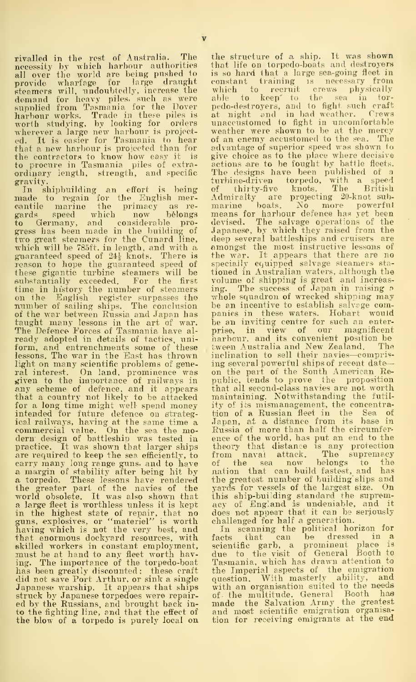rivalled in the rest of Australia. The the<br>necessity by which harbour authorities that<br>all over the world are being pushed to is se provide what<br>rigge for large to range draught common schemers will, undoubtedly, increase the<br>sumplied from Tasmania for the Dover able<br>sumplied from Tasmania for the Dover ped<br>harbour works. Trade in these piles is at<br>mor ordinary length, strength, and specific<br>gravity.

gravity. In shipbuilding an effort is being Tna.de to regain for the English mer-cantile marine the primacy as re gards speed which now belongs to Germany, and considerable progress has been made in the building of two great steamers for the Cunard line, the<br>which will be 785ft. in length, and with a. a. guaranteed speed of 244- knots. There is reason to hope the guaranteed speed of speed<br>these gigantic turbine steamers will be tion<br>substantially exceeded. For the first vol<br>time in history the number of steamers ing on the English register surpasses the mumber of sailing ships. The conclusion be<br>of the war between Russia and Japan has pat<br>taught many lessons in the art of war. be<br>The Defence Porces of Tasmania have al-pri ready adopted in details of tactics, uni form, and entrenchments some of these lessons. The war in the East has thrown light on many scientific problems of gene-<br>ral interest. On land, prominence was on<br>given to the importance of railways in put<br>any scheme of defence, and it appears tha that a country not likely to be attacked for a long time might well-spend money ity thended for future defence on strateg- tion<br>ical railways, having at the same time a competition<br>commercial value. On the sea the mo-Russ dern design of battleship was tested in practice. It was shown that larger ships are required to keep the sea efficiently, to carry many long range guns, and to have<br>a margin of stability after being hit by a torpedo. These lessons have rendered the greater part of the navies of the yar<br>world obsolete. It was also shown that thi a large fleet is worthless unless it is kept – acy<br>in the highest state of repair, that no – doe<br>guns, explosives, or "materiel" is worth – cha having which is not the very best, and that enormous dockyard resources, with skilled workers in constant employment, scie<br>must be at hand to any fleet worth hav- due<br>ing. The importance of the torpedo-boat - Tas has been greatly discounted; these craft did not save Port Arthur, or sink a single Japanese warship. It appears that ships with an organisation suited to the needs<br>struck by Japanese torpedoes were repair- of the multitude, General Booth has struck by Japanese torpedoes were repair- of<br>ed by the Russians, and brought back in- to<br>to the fighting line, and that the effect of – an the blow of a torpedo is purely local on

the structure of a ship. It was shown<br>that life on torpedo-boats and destroyers is so hard that a large sea-going neet in<br>constant training is necessary from<br>which to recruit crews physically<br>able to keep' to the sea in tor-<br>pedo-destroyers, and to fight such craft<br>at night and in bad weather. Crews<br>u of an enemy accustomed to the sea. The advantage of superior speed was shown to<br>give choice as to the place where decisive give choice as to the place where decisive actions are to be fought by battle fleets.<br>The designs have been published of a trabine-driven torpedo, with a speed<br>of thirty-five knots. The British Admiralty are projecting 20-knot sub- marine boats. No more powerful means for harbour defence has yet been devised. The salvage operations of the Japanese, by which they raised from the deep several battleships and cruisers are<br>amongst the most instructive lessons of<br>the war. It appears that there are no specially equipped salvage steamers stationed in Australian waters, although the volume of shipping is great and increas-ing. The success of Japan in raising <sup>a</sup> whole squadron of wrecked shipping may be an incentive to establish salvage companies in these waters. Hobart would<br>be an inviting centre for such an enter-<br>prise, in view of our magnificent harbour, and its convenient position be tween Australia and New Zealand. inclination to sell their navies—comprising several powerful ships of recent dateon the part of the South American Republic, tends to prove the proposition that ail second-class navies are not worth maintaining. Notwithstanding the futil ity of its mismanagement, the concentra-<br>tion of a Russian fleet in the Sea of<br>Japan, at a distance from its base in<br>Russia of more than half the circumference of the world, has put an end to the theory that distance is any protection<br>from naval attack. The supremacy from naval attack. The supremacy of the sea now belongs to the nation that can build fastest, and has the greatest number of building" slips and yards for vessels of the largest size. On this ship-building standard the suprem-<br>acy of England is undeniable, and it<br>does not appear that it can be seriously challenged for half a generation.

In scanning the political horizon for facts that can be dressed in a<br>scientific garb, a prominent place is<br>due to the visit of General Booth to<br>Tasmania, which has drawn attention to the Imperial aspects of the emigration question. With masterly ability, and with an organisation siiited to the needs made the Salvation Army the greatest and most scientific emigration organisation for receiving emigrants at the end